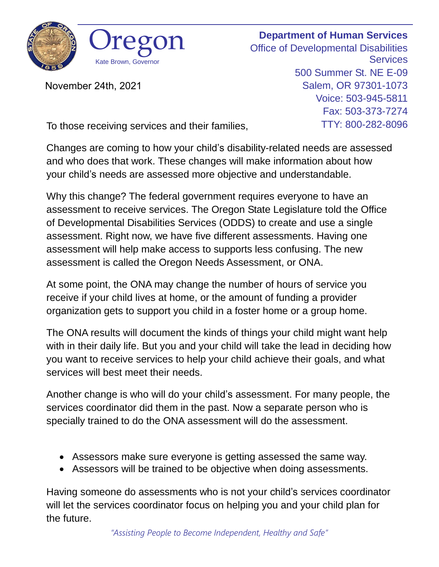

November 24th, 2021

**Department of Human Services** Office of Developmental Disabilities **Services** 500 Summer St. NE E-09 Salem, OR 97301-1073 Voice: 503-945-5811 Fax: 503-373-7274 TTY: 800-282-8096

To those receiving services and their families,

Changes are coming to how your child's disability-related needs are assessed and who does that work. These changes will make information about how your child's needs are assessed more objective and understandable.

Why this change? The federal government requires everyone to have an assessment to receive services. The Oregon State Legislature told the Office of Developmental Disabilities Services (ODDS) to create and use a single assessment. Right now, we have five different assessments. Having one assessment will help make access to supports less confusing. The new assessment is called the Oregon Needs Assessment, or ONA.

At some point, the ONA may change the number of hours of service you receive if your child lives at home, or the amount of funding a provider organization gets to support you child in a foster home or a group home.

The ONA results will document the kinds of things your child might want help with in their daily life. But you and your child will take the lead in deciding how you want to receive services to help your child achieve their goals, and what services will best meet their needs.

Another change is who will do your child's assessment. For many people, the services coordinator did them in the past. Now a separate person who is specially trained to do the ONA assessment will do the assessment.

- Assessors make sure everyone is getting assessed the same way.
- Assessors will be trained to be objective when doing assessments.

Having someone do assessments who is not your child's services coordinator will let the services coordinator focus on helping you and your child plan for the future.